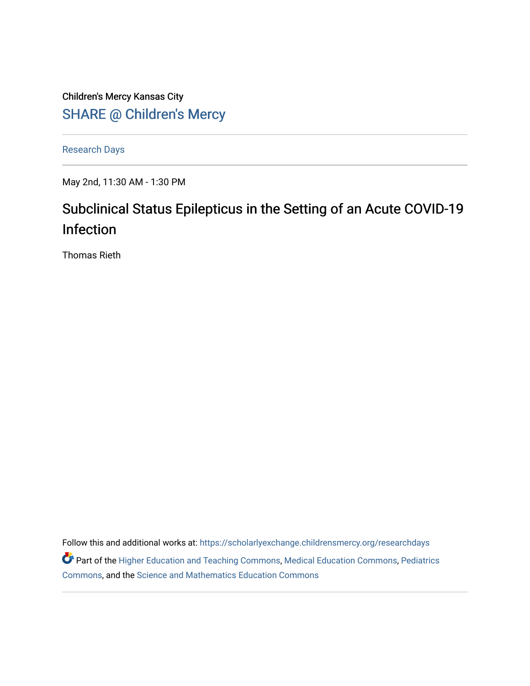Children's Mercy Kansas City SHARE @ Children's Mercy

[Research Days](https://scholarlyexchange.childrensmercy.org/researchdays)

May 2nd, 11:30 AM - 1:30 PM

# Subclinical Status Epilepticus in the Setting of an Acute COVID-19 Infection

Thomas Rieth

Follow this and additional works at: [https://scholarlyexchange.childrensmercy.org/researchdays](https://scholarlyexchange.childrensmercy.org/researchdays?utm_source=scholarlyexchange.childrensmercy.org%2Fresearchdays%2FGME_Research_Days_2021%2Fresearchday1%2F1&utm_medium=PDF&utm_campaign=PDFCoverPages)  Part of the [Higher Education and Teaching Commons](http://network.bepress.com/hgg/discipline/806?utm_source=scholarlyexchange.childrensmercy.org%2Fresearchdays%2FGME_Research_Days_2021%2Fresearchday1%2F1&utm_medium=PDF&utm_campaign=PDFCoverPages), [Medical Education Commons](http://network.bepress.com/hgg/discipline/1125?utm_source=scholarlyexchange.childrensmercy.org%2Fresearchdays%2FGME_Research_Days_2021%2Fresearchday1%2F1&utm_medium=PDF&utm_campaign=PDFCoverPages), [Pediatrics](http://network.bepress.com/hgg/discipline/700?utm_source=scholarlyexchange.childrensmercy.org%2Fresearchdays%2FGME_Research_Days_2021%2Fresearchday1%2F1&utm_medium=PDF&utm_campaign=PDFCoverPages)  [Commons](http://network.bepress.com/hgg/discipline/700?utm_source=scholarlyexchange.childrensmercy.org%2Fresearchdays%2FGME_Research_Days_2021%2Fresearchday1%2F1&utm_medium=PDF&utm_campaign=PDFCoverPages), and the [Science and Mathematics Education Commons](http://network.bepress.com/hgg/discipline/800?utm_source=scholarlyexchange.childrensmercy.org%2Fresearchdays%2FGME_Research_Days_2021%2Fresearchday1%2F1&utm_medium=PDF&utm_campaign=PDFCoverPages)